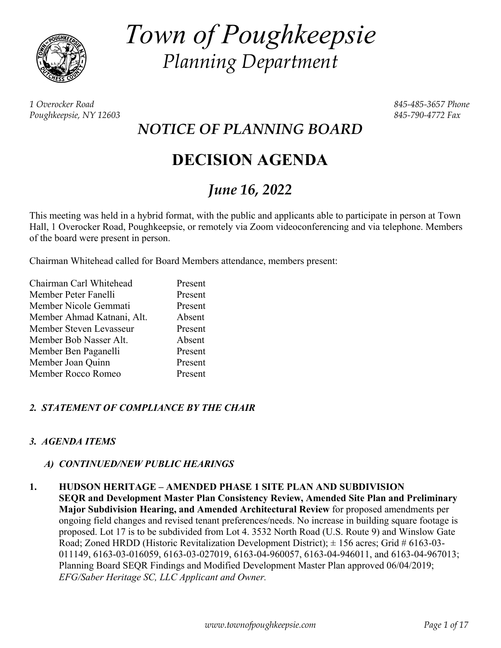

*Town of Poughkeepsie Planning Department* 

*1 Overocker Road 845-485-3657 Phone Poughkeepsie, NY 12603 845-790-4772 Fax* 

*NOTICE OF PLANNING BOARD* 

# **DECISION AGENDA**

## *June 16, 2022*

This meeting was held in a hybrid format, with the public and applicants able to participate in person at Town Hall, 1 Overocker Road, Poughkeepsie, or remotely via Zoom videoconferencing and via telephone. Members of the board were present in person.

Chairman Whitehead called for Board Members attendance, members present:

| Chairman Carl Whitehead    | Present |
|----------------------------|---------|
| Member Peter Fanelli       | Present |
| Member Nicole Gemmati      | Present |
| Member Ahmad Katnani, Alt. | Absent  |
| Member Steven Levasseur    | Present |
| Member Bob Nasser Alt.     | Absent  |
| Member Ben Paganelli       | Present |
| Member Joan Quinn          | Present |
| Member Rocco Romeo         | Present |

## *2. STATEMENT OF COMPLIANCE BY THE CHAIR*

## *3. AGENDA ITEMS*

## *A) CONTINUED/NEW PUBLIC HEARINGS*

#### **1. HUDSON HERITAGE – AMENDED PHASE 1 SITE PLAN AND SUBDIVISION**

**SEQR and Development Master Plan Consistency Review, Amended Site Plan and Preliminary Major Subdivision Hearing, and Amended Architectural Review** for proposed amendments per ongoing field changes and revised tenant preferences/needs. No increase in building square footage is proposed. Lot 17 is to be subdivided from Lot 4. 3532 North Road (U.S. Route 9) and Winslow Gate Road; Zoned HRDD (Historic Revitalization Development District);  $\pm$  156 acres; Grid # 6163-03-011149, 6163-03-016059, 6163-03-027019, 6163-04-960057, 6163-04-946011, and 6163-04-967013; Planning Board SEQR Findings and Modified Development Master Plan approved 06/04/2019; *EFG/Saber Heritage SC, LLC Applicant and Owner.*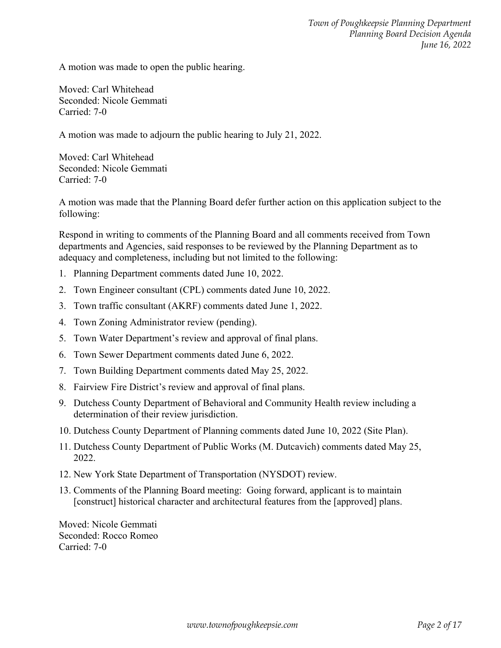A motion was made to open the public hearing.

Moved: Carl Whitehead Seconded: Nicole Gemmati Carried: 7-0

A motion was made to adjourn the public hearing to July 21, 2022.

Moved: Carl Whitehead Seconded: Nicole Gemmati Carried: 7-0

A motion was made that the Planning Board defer further action on this application subject to the following:

Respond in writing to comments of the Planning Board and all comments received from Town departments and Agencies, said responses to be reviewed by the Planning Department as to adequacy and completeness, including but not limited to the following:

- 1. Planning Department comments dated June 10, 2022.
- 2. Town Engineer consultant (CPL) comments dated June 10, 2022.
- 3. Town traffic consultant (AKRF) comments dated June 1, 2022.
- 4. Town Zoning Administrator review (pending).
- 5. Town Water Department's review and approval of final plans.
- 6. Town Sewer Department comments dated June 6, 2022.
- 7. Town Building Department comments dated May 25, 2022.
- 8. Fairview Fire District's review and approval of final plans.
- 9. Dutchess County Department of Behavioral and Community Health review including a determination of their review jurisdiction.
- 10. Dutchess County Department of Planning comments dated June 10, 2022 (Site Plan).
- 11. Dutchess County Department of Public Works (M. Dutcavich) comments dated May 25, 2022.
- 12. New York State Department of Transportation (NYSDOT) review.
- 13. Comments of the Planning Board meeting: Going forward, applicant is to maintain [construct] historical character and architectural features from the [approved] plans.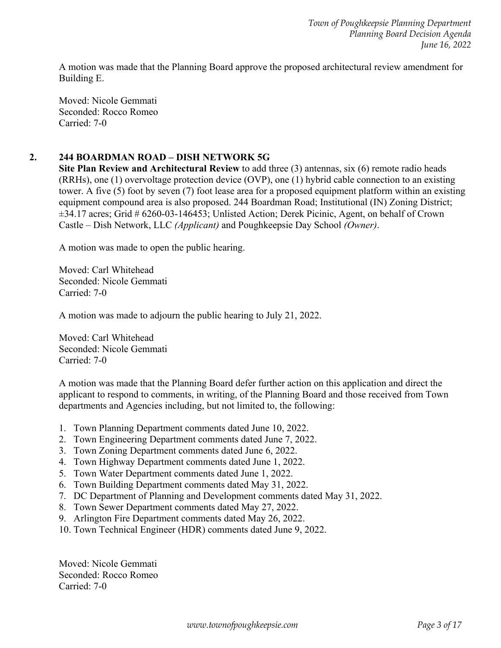A motion was made that the Planning Board approve the proposed architectural review amendment for Building E.

Moved: Nicole Gemmati Seconded: Rocco Romeo Carried: 7-0

## **2. 244 BOARDMAN ROAD – DISH NETWORK 5G**

**Site Plan Review and Architectural Review** to add three (3) antennas, six (6) remote radio heads (RRHs), one (1) overvoltage protection device (OVP), one (1) hybrid cable connection to an existing tower. A five (5) foot by seven (7) foot lease area for a proposed equipment platform within an existing equipment compound area is also proposed. 244 Boardman Road; Institutional (IN) Zoning District; ±34.17 acres; Grid # 6260-03-146453; Unlisted Action; Derek Picinic, Agent, on behalf of Crown Castle – Dish Network, LLC *(Applicant)* and Poughkeepsie Day School *(Owner)*.

A motion was made to open the public hearing.

Moved: Carl Whitehead Seconded: Nicole Gemmati Carried: 7-0

A motion was made to adjourn the public hearing to July 21, 2022.

Moved: Carl Whitehead Seconded: Nicole Gemmati Carried: 7-0

A motion was made that the Planning Board defer further action on this application and direct the applicant to respond to comments, in writing, of the Planning Board and those received from Town departments and Agencies including, but not limited to, the following:

- 1. Town Planning Department comments dated June 10, 2022.
- 2. Town Engineering Department comments dated June 7, 2022.
- 3. Town Zoning Department comments dated June 6, 2022.
- 4. Town Highway Department comments dated June 1, 2022.
- 5. Town Water Department comments dated June 1, 2022.
- 6. Town Building Department comments dated May 31, 2022.
- 7. DC Department of Planning and Development comments dated May 31, 2022.
- 8. Town Sewer Department comments dated May 27, 2022.
- 9. Arlington Fire Department comments dated May 26, 2022.
- 10. Town Technical Engineer (HDR) comments dated June 9, 2022.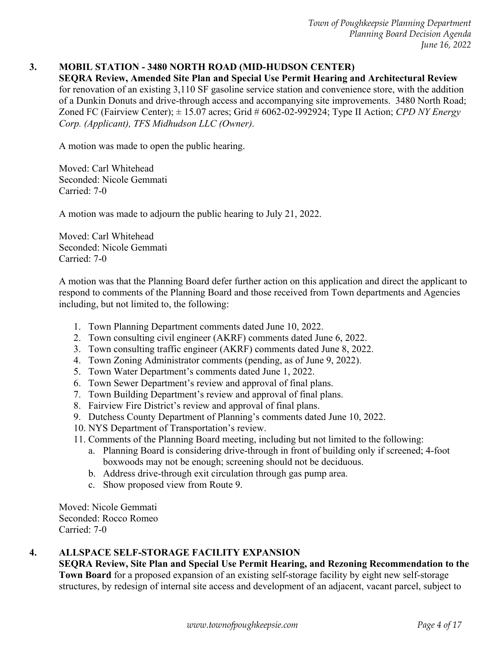#### **3. MOBIL STATION - 3480 NORTH ROAD (MID-HUDSON CENTER)**

**SEQRA Review, Amended Site Plan and Special Use Permit Hearing and Architectural Review**  for renovation of an existing 3,110 SF gasoline service station and convenience store, with the addition of a Dunkin Donuts and drive-through access and accompanying site improvements. 3480 North Road; Zoned FC (Fairview Center); ± 15.07 acres; Grid # 6062-02-992924; Type II Action; *CPD NY Energy Corp. (Applicant), TFS Midhudson LLC (Owner).* 

A motion was made to open the public hearing.

Moved: Carl Whitehead Seconded: Nicole Gemmati Carried: 7-0

A motion was made to adjourn the public hearing to July 21, 2022.

Moved: Carl Whitehead Seconded: Nicole Gemmati Carried: 7-0

A motion was that the Planning Board defer further action on this application and direct the applicant to respond to comments of the Planning Board and those received from Town departments and Agencies including, but not limited to, the following:

- 1. Town Planning Department comments dated June 10, 2022.
- 2. Town consulting civil engineer (AKRF) comments dated June 6, 2022.
- 3. Town consulting traffic engineer (AKRF) comments dated June 8, 2022.
- 4. Town Zoning Administrator comments (pending, as of June 9, 2022).
- 5. Town Water Department's comments dated June 1, 2022.
- 6. Town Sewer Department's review and approval of final plans.
- 7. Town Building Department's review and approval of final plans.
- 8. Fairview Fire District's review and approval of final plans.
- 9. Dutchess County Department of Planning's comments dated June 10, 2022.
- 10. NYS Department of Transportation's review.
- 11. Comments of the Planning Board meeting, including but not limited to the following:
	- a. Planning Board is considering drive-through in front of building only if screened; 4-foot boxwoods may not be enough; screening should not be deciduous.
	- b. Address drive-through exit circulation through gas pump area.
	- c. Show proposed view from Route 9.

Moved: Nicole Gemmati Seconded: Rocco Romeo Carried: 7-0

#### **4. ALLSPACE SELF-STORAGE FACILITY EXPANSION**

**SEQRA Review, Site Plan and Special Use Permit Hearing, and Rezoning Recommendation to the Town Board** for a proposed expansion of an existing self-storage facility by eight new self-storage structures, by redesign of internal site access and development of an adjacent, vacant parcel, subject to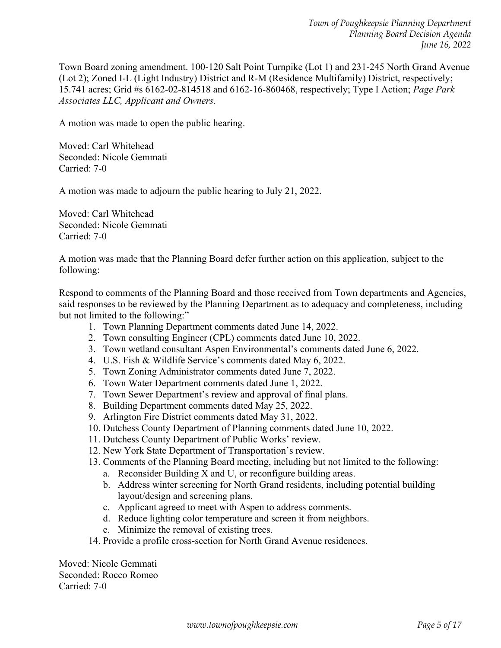Town Board zoning amendment. 100-120 Salt Point Turnpike (Lot 1) and 231-245 North Grand Avenue (Lot 2); Zoned I-L (Light Industry) District and R-M (Residence Multifamily) District, respectively; 15.741 acres; Grid #s 6162-02-814518 and 6162-16-860468, respectively; Type I Action; *Page Park Associates LLC, Applicant and Owners.* 

A motion was made to open the public hearing.

Moved: Carl Whitehead Seconded: Nicole Gemmati Carried: 7-0

A motion was made to adjourn the public hearing to July 21, 2022.

Moved: Carl Whitehead Seconded: Nicole Gemmati Carried: 7-0

A motion was made that the Planning Board defer further action on this application, subject to the following:

Respond to comments of the Planning Board and those received from Town departments and Agencies, said responses to be reviewed by the Planning Department as to adequacy and completeness, including but not limited to the following:"

- 1. Town Planning Department comments dated June 14, 2022.
- 2. Town consulting Engineer (CPL) comments dated June 10, 2022.
- 3. Town wetland consultant Aspen Environmental's comments dated June 6, 2022.
- 4. U.S. Fish & Wildlife Service's comments dated May 6, 2022.
- 5. Town Zoning Administrator comments dated June 7, 2022.
- 6. Town Water Department comments dated June 1, 2022.
- 7. Town Sewer Department's review and approval of final plans.
- 8. Building Department comments dated May 25, 2022.
- 9. Arlington Fire District comments dated May 31, 2022.
- 10. Dutchess County Department of Planning comments dated June 10, 2022.
- 11. Dutchess County Department of Public Works' review.
- 12. New York State Department of Transportation's review.
- 13. Comments of the Planning Board meeting, including but not limited to the following:
	- a. Reconsider Building X and U, or reconfigure building areas.
	- b. Address winter screening for North Grand residents, including potential building layout/design and screening plans.
	- c. Applicant agreed to meet with Aspen to address comments.
	- d. Reduce lighting color temperature and screen it from neighbors.
	- e. Minimize the removal of existing trees.
- 14. Provide a profile cross-section for North Grand Avenue residences.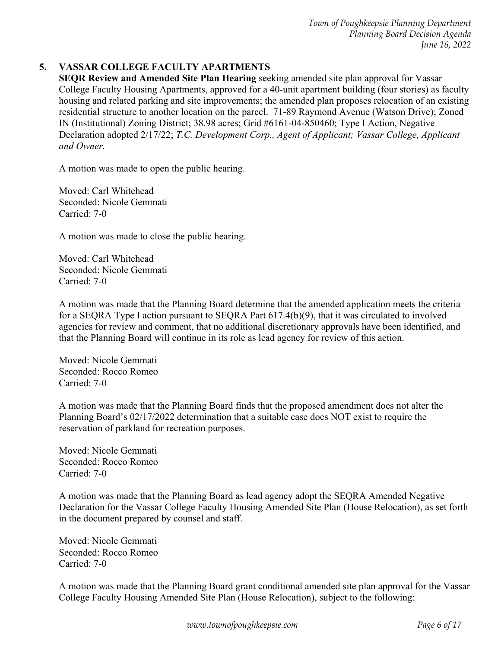## **5. VASSAR COLLEGE FACULTY APARTMENTS**

**SEQR Review and Amended Site Plan Hearing** seeking amended site plan approval for Vassar College Faculty Housing Apartments, approved for a 40-unit apartment building (four stories) as faculty housing and related parking and site improvements; the amended plan proposes relocation of an existing residential structure to another location on the parcel. 71-89 Raymond Avenue (Watson Drive); Zoned IN (Institutional) Zoning District; 38.98 acres; Grid #6161-04-850460; Type I Action, Negative Declaration adopted 2/17/22; *T.C. Development Corp., Agent of Applicant; Vassar College, Applicant and Owner.* 

A motion was made to open the public hearing.

Moved: Carl Whitehead Seconded: Nicole Gemmati Carried: 7-0

A motion was made to close the public hearing.

Moved: Carl Whitehead Seconded: Nicole Gemmati Carried: 7-0

A motion was made that the Planning Board determine that the amended application meets the criteria for a SEQRA Type I action pursuant to SEQRA Part 617.4(b)(9), that it was circulated to involved agencies for review and comment, that no additional discretionary approvals have been identified, and that the Planning Board will continue in its role as lead agency for review of this action.

Moved: Nicole Gemmati Seconded: Rocco Romeo Carried: 7-0

A motion was made that the Planning Board finds that the proposed amendment does not alter the Planning Board's 02/17/2022 determination that a suitable case does NOT exist to require the reservation of parkland for recreation purposes.

Moved: Nicole Gemmati Seconded: Rocco Romeo Carried: 7-0

A motion was made that the Planning Board as lead agency adopt the SEQRA Amended Negative Declaration for the Vassar College Faculty Housing Amended Site Plan (House Relocation), as set forth in the document prepared by counsel and staff.

Moved: Nicole Gemmati Seconded: Rocco Romeo Carried: 7-0

A motion was made that the Planning Board grant conditional amended site plan approval for the Vassar College Faculty Housing Amended Site Plan (House Relocation), subject to the following: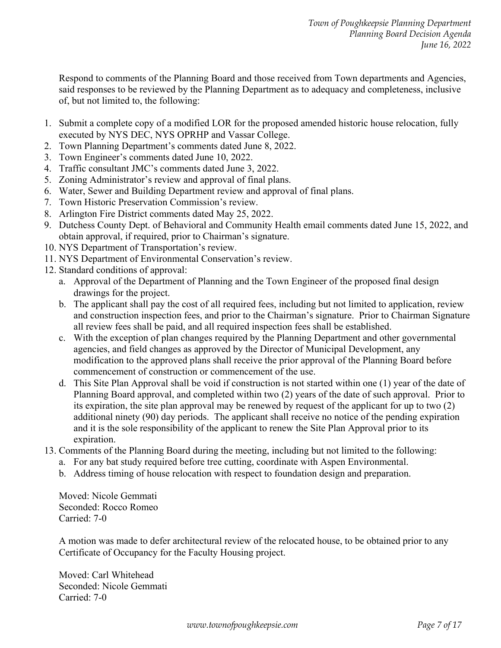Respond to comments of the Planning Board and those received from Town departments and Agencies, said responses to be reviewed by the Planning Department as to adequacy and completeness, inclusive of, but not limited to, the following:

- 1. Submit a complete copy of a modified LOR for the proposed amended historic house relocation, fully executed by NYS DEC, NYS OPRHP and Vassar College.
- 2. Town Planning Department's comments dated June 8, 2022.
- 3. Town Engineer's comments dated June 10, 2022.
- 4. Traffic consultant JMC's comments dated June 3, 2022.
- 5. Zoning Administrator's review and approval of final plans.
- 6. Water, Sewer and Building Department review and approval of final plans.
- 7. Town Historic Preservation Commission's review.
- 8. Arlington Fire District comments dated May 25, 2022.
- 9. Dutchess County Dept. of Behavioral and Community Health email comments dated June 15, 2022, and obtain approval, if required, prior to Chairman's signature.
- 10. NYS Department of Transportation's review.
- 11. NYS Department of Environmental Conservation's review.
- 12. Standard conditions of approval:
	- a. Approval of the Department of Planning and the Town Engineer of the proposed final design drawings for the project.
	- b. The applicant shall pay the cost of all required fees, including but not limited to application, review and construction inspection fees, and prior to the Chairman's signature. Prior to Chairman Signature all review fees shall be paid, and all required inspection fees shall be established.
	- c. With the exception of plan changes required by the Planning Department and other governmental agencies, and field changes as approved by the Director of Municipal Development, any modification to the approved plans shall receive the prior approval of the Planning Board before commencement of construction or commencement of the use.
	- d. This Site Plan Approval shall be void if construction is not started within one (1) year of the date of Planning Board approval, and completed within two (2) years of the date of such approval. Prior to its expiration, the site plan approval may be renewed by request of the applicant for up to two (2) additional ninety (90) day periods. The applicant shall receive no notice of the pending expiration and it is the sole responsibility of the applicant to renew the Site Plan Approval prior to its expiration.
- 13. Comments of the Planning Board during the meeting, including but not limited to the following:
	- a. For any bat study required before tree cutting, coordinate with Aspen Environmental.
	- b. Address timing of house relocation with respect to foundation design and preparation.

Moved: Nicole Gemmati Seconded: Rocco Romeo Carried: 7-0

A motion was made to defer architectural review of the relocated house, to be obtained prior to any Certificate of Occupancy for the Faculty Housing project.

Moved: Carl Whitehead Seconded: Nicole Gemmati Carried: 7-0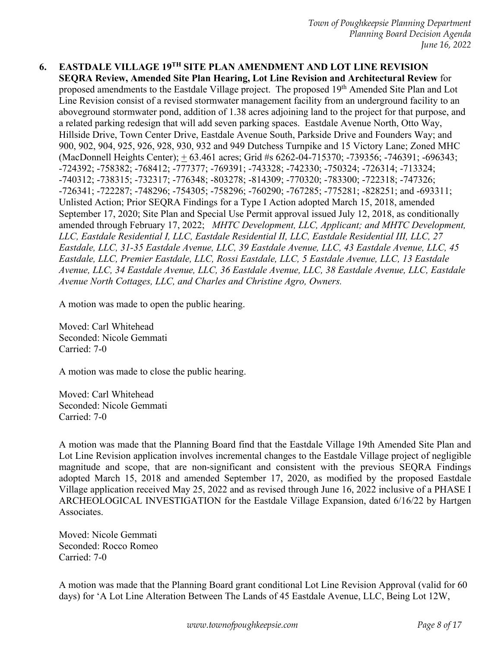**6. EASTDALE VILLAGE 19TH SITE PLAN AMENDMENT AND LOT LINE REVISION SEQRA Review, Amended Site Plan Hearing, Lot Line Revision and Architectural Review** for proposed amendments to the Eastdale Village project. The proposed 19<sup>th</sup> Amended Site Plan and Lot Line Revision consist of a revised stormwater management facility from an underground facility to an aboveground stormwater pond, addition of 1.38 acres adjoining land to the project for that purpose, and a related parking redesign that will add seven parking spaces. Eastdale Avenue North, Otto Way, Hillside Drive, Town Center Drive, Eastdale Avenue South, Parkside Drive and Founders Way; and 900, 902, 904, 925, 926, 928, 930, 932 and 949 Dutchess Turnpike and 15 Victory Lane; Zoned MHC (MacDonnell Heights Center); + 63.461 acres; Grid #s 6262-04-715370; -739356; -746391; -696343; -724392; -758382; -768412; -777377; -769391; -743328; -742330; -750324; -726314; -713324; -740312; -738315; -732317; -776348; -803278; -814309; -770320; -783300; -722318; -747326; -726341; -722287; -748296; -754305; -758296; -760290; -767285; -775281; -828251; and -693311; Unlisted Action; Prior SEQRA Findings for a Type I Action adopted March 15, 2018, amended September 17, 2020; Site Plan and Special Use Permit approval issued July 12, 2018, as conditionally amended through February 17, 2022; *MHTC Development, LLC, Applicant; and MHTC Development, LLC, Eastdale Residential I, LLC, Eastdale Residential II, LLC, Eastdale Residential III, LLC, 27 Eastdale, LLC, 31-35 Eastdale Avenue, LLC, 39 Eastdale Avenue, LLC, 43 Eastdale Avenue, LLC, 45 Eastdale, LLC, Premier Eastdale, LLC, Rossi Eastdale, LLC, 5 Eastdale Avenue, LLC, 13 Eastdale Avenue, LLC, 34 Eastdale Avenue, LLC, 36 Eastdale Avenue, LLC, 38 Eastdale Avenue, LLC, Eastdale Avenue North Cottages, LLC, and Charles and Christine Agro, Owners.*

A motion was made to open the public hearing.

Moved: Carl Whitehead Seconded: Nicole Gemmati Carried: 7-0

A motion was made to close the public hearing.

Moved: Carl Whitehead Seconded: Nicole Gemmati Carried: 7-0

A motion was made that the Planning Board find that the Eastdale Village 19th Amended Site Plan and Lot Line Revision application involves incremental changes to the Eastdale Village project of negligible magnitude and scope, that are non-significant and consistent with the previous SEQRA Findings adopted March 15, 2018 and amended September 17, 2020, as modified by the proposed Eastdale Village application received May 25, 2022 and as revised through June 16, 2022 inclusive of a PHASE I ARCHEOLOGICAL INVESTIGATION for the Eastdale Village Expansion, dated 6/16/22 by Hartgen Associates.

Moved: Nicole Gemmati Seconded: Rocco Romeo Carried: 7-0

A motion was made that the Planning Board grant conditional Lot Line Revision Approval (valid for 60 days) for 'A Lot Line Alteration Between The Lands of 45 Eastdale Avenue, LLC, Being Lot 12W,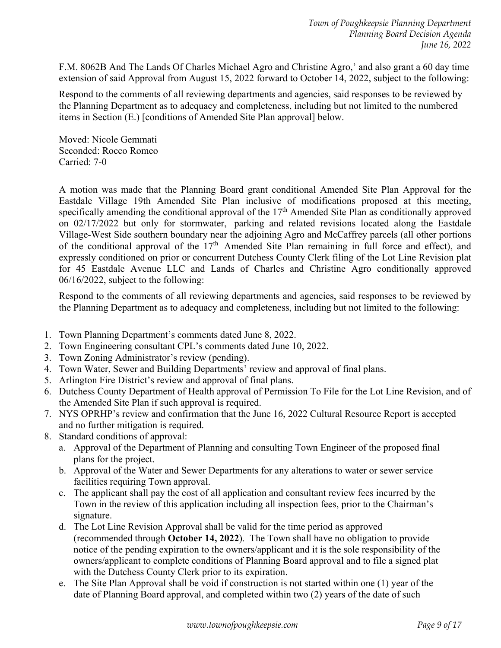F.M. 8062B And The Lands Of Charles Michael Agro and Christine Agro,' and also grant a 60 day time extension of said Approval from August 15, 2022 forward to October 14, 2022, subject to the following:

Respond to the comments of all reviewing departments and agencies, said responses to be reviewed by the Planning Department as to adequacy and completeness, including but not limited to the numbered items in Section (E.) [conditions of Amended Site Plan approval] below.

Moved: Nicole Gemmati Seconded: Rocco Romeo Carried: 7-0

A motion was made that the Planning Board grant conditional Amended Site Plan Approval for the Eastdale Village 19th Amended Site Plan inclusive of modifications proposed at this meeting, specifically amending the conditional approval of the 17<sup>th</sup> Amended Site Plan as conditionally approved on 02/17/2022 but only for stormwater, parking and related revisions located along the Eastdale Village-West Side southern boundary near the adjoining Agro and McCaffrey parcels (all other portions of the conditional approval of the 17<sup>th</sup> Amended Site Plan remaining in full force and effect), and expressly conditioned on prior or concurrent Dutchess County Clerk filing of the Lot Line Revision plat for 45 Eastdale Avenue LLC and Lands of Charles and Christine Agro conditionally approved 06/16/2022, subject to the following:

Respond to the comments of all reviewing departments and agencies, said responses to be reviewed by the Planning Department as to adequacy and completeness, including but not limited to the following:

- 1. Town Planning Department's comments dated June 8, 2022.
- 2. Town Engineering consultant CPL's comments dated June 10, 2022.
- 3. Town Zoning Administrator's review (pending).
- 4. Town Water, Sewer and Building Departments' review and approval of final plans.
- 5. Arlington Fire District's review and approval of final plans.
- 6. Dutchess County Department of Health approval of Permission To File for the Lot Line Revision, and of the Amended Site Plan if such approval is required.
- 7. NYS OPRHP's review and confirmation that the June 16, 2022 Cultural Resource Report is accepted and no further mitigation is required.
- 8. Standard conditions of approval:
	- a. Approval of the Department of Planning and consulting Town Engineer of the proposed final plans for the project.
	- b. Approval of the Water and Sewer Departments for any alterations to water or sewer service facilities requiring Town approval.
	- c. The applicant shall pay the cost of all application and consultant review fees incurred by the Town in the review of this application including all inspection fees, prior to the Chairman's signature.
	- d. The Lot Line Revision Approval shall be valid for the time period as approved (recommended through **October 14, 2022**). The Town shall have no obligation to provide notice of the pending expiration to the owners/applicant and it is the sole responsibility of the owners/applicant to complete conditions of Planning Board approval and to file a signed plat with the Dutchess County Clerk prior to its expiration.
	- e. The Site Plan Approval shall be void if construction is not started within one (1) year of the date of Planning Board approval, and completed within two (2) years of the date of such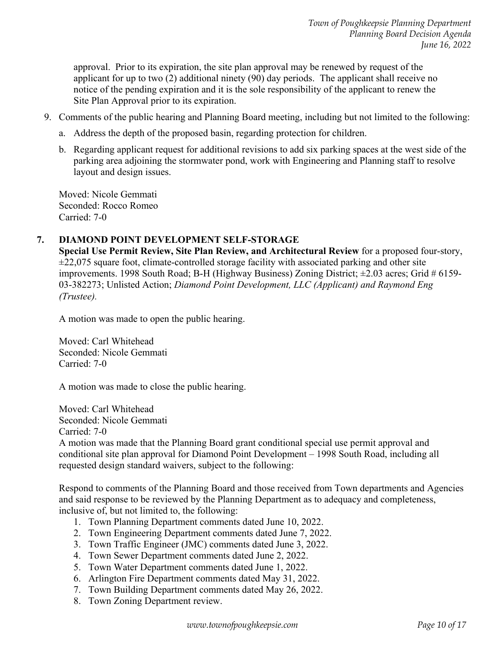approval. Prior to its expiration, the site plan approval may be renewed by request of the applicant for up to two (2) additional ninety (90) day periods. The applicant shall receive no notice of the pending expiration and it is the sole responsibility of the applicant to renew the Site Plan Approval prior to its expiration.

- 9. Comments of the public hearing and Planning Board meeting, including but not limited to the following:
	- a. Address the depth of the proposed basin, regarding protection for children.
	- b. Regarding applicant request for additional revisions to add six parking spaces at the west side of the parking area adjoining the stormwater pond, work with Engineering and Planning staff to resolve layout and design issues.

Moved: Nicole Gemmati Seconded: Rocco Romeo Carried: 7-0

#### **7. DIAMOND POINT DEVELOPMENT SELF-STORAGE**

**Special Use Permit Review, Site Plan Review, and Architectural Review** for a proposed four-story,  $\pm$ 22,075 square foot, climate-controlled storage facility with associated parking and other site improvements. 1998 South Road; B-H (Highway Business) Zoning District; ±2.03 acres; Grid # 6159- 03-382273; Unlisted Action; *Diamond Point Development, LLC (Applicant) and Raymond Eng (Trustee).* 

A motion was made to open the public hearing.

Moved: Carl Whitehead Seconded: Nicole Gemmati Carried: 7-0

A motion was made to close the public hearing.

Moved: Carl Whitehead Seconded: Nicole Gemmati Carried: 7-0

A motion was made that the Planning Board grant conditional special use permit approval and conditional site plan approval for Diamond Point Development – 1998 South Road, including all requested design standard waivers, subject to the following:

Respond to comments of the Planning Board and those received from Town departments and Agencies and said response to be reviewed by the Planning Department as to adequacy and completeness, inclusive of, but not limited to, the following:

- 1. Town Planning Department comments dated June 10, 2022.
- 2. Town Engineering Department comments dated June 7, 2022.
- 3. Town Traffic Engineer (JMC) comments dated June 3, 2022.
- 4. Town Sewer Department comments dated June 2, 2022.
- 5. Town Water Department comments dated June 1, 2022.
- 6. Arlington Fire Department comments dated May 31, 2022.
- 7. Town Building Department comments dated May 26, 2022.
- 8. Town Zoning Department review.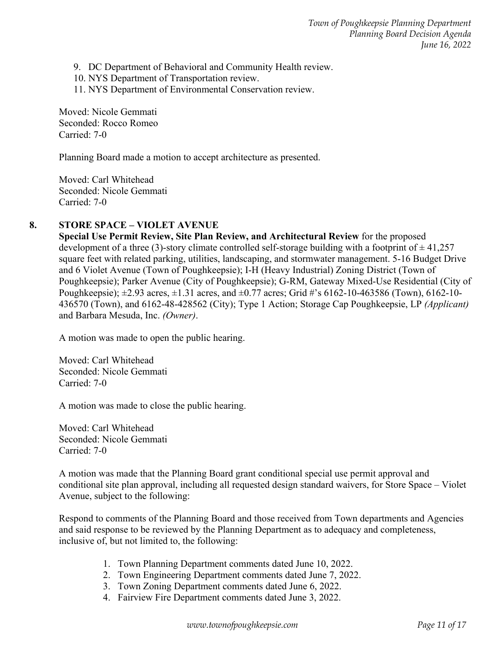9. DC Department of Behavioral and Community Health review.

- 10. NYS Department of Transportation review.
- 11. NYS Department of Environmental Conservation review.

Moved: Nicole Gemmati Seconded: Rocco Romeo Carried: 7-0

Planning Board made a motion to accept architecture as presented.

Moved: Carl Whitehead Seconded: Nicole Gemmati Carried: 7-0

## **8. STORE SPACE – VIOLET AVENUE**

**Special Use Permit Review, Site Plan Review, and Architectural Review** for the proposed development of a three (3)-story climate controlled self-storage building with a footprint of  $\pm$  41,257 square feet with related parking, utilities, landscaping, and stormwater management. 5-16 Budget Drive and 6 Violet Avenue (Town of Poughkeepsie); I-H (Heavy Industrial) Zoning District (Town of Poughkeepsie); Parker Avenue (City of Poughkeepsie); G-RM, Gateway Mixed-Use Residential (City of Poughkeepsie);  $\pm 2.93$  acres,  $\pm 1.31$  acres, and  $\pm 0.77$  acres; Grid #'s 6162-10-463586 (Town), 6162-10-436570 (Town), and 6162-48-428562 (City); Type 1 Action; Storage Cap Poughkeepsie, LP *(Applicant)* and Barbara Mesuda, Inc. *(Owner)*.

A motion was made to open the public hearing.

Moved: Carl Whitehead Seconded: Nicole Gemmati Carried: 7-0

A motion was made to close the public hearing.

Moved: Carl Whitehead Seconded: Nicole Gemmati Carried: 7-0

A motion was made that the Planning Board grant conditional special use permit approval and conditional site plan approval, including all requested design standard waivers, for Store Space – Violet Avenue, subject to the following:

Respond to comments of the Planning Board and those received from Town departments and Agencies and said response to be reviewed by the Planning Department as to adequacy and completeness, inclusive of, but not limited to, the following:

- 1. Town Planning Department comments dated June 10, 2022.
- 2. Town Engineering Department comments dated June 7, 2022.
- 3. Town Zoning Department comments dated June 6, 2022.
- 4. Fairview Fire Department comments dated June 3, 2022.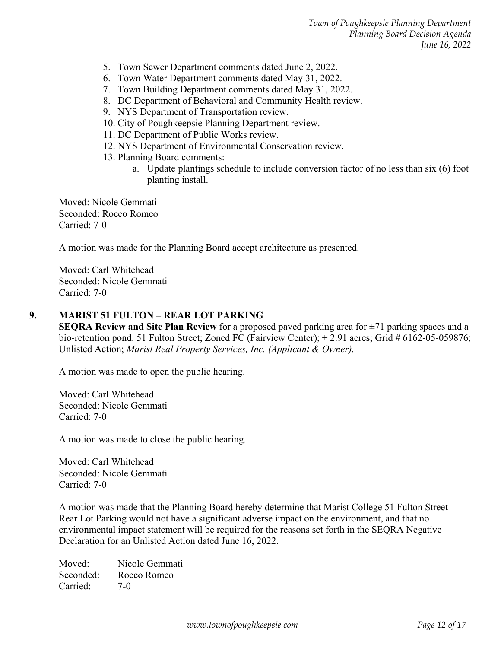- 5. Town Sewer Department comments dated June 2, 2022.
- 6. Town Water Department comments dated May 31, 2022.
- 7. Town Building Department comments dated May 31, 2022.
- 8. DC Department of Behavioral and Community Health review.
- 9. NYS Department of Transportation review.
- 10. City of Poughkeepsie Planning Department review.
- 11. DC Department of Public Works review.
- 12. NYS Department of Environmental Conservation review.
- 13. Planning Board comments:
	- a. Update plantings schedule to include conversion factor of no less than six (6) foot planting install.

Moved: Nicole Gemmati Seconded: Rocco Romeo Carried: 7-0

A motion was made for the Planning Board accept architecture as presented.

Moved: Carl Whitehead Seconded: Nicole Gemmati Carried: 7-0

#### **9. MARIST 51 FULTON – REAR LOT PARKING**

**SEQRA Review and Site Plan Review** for a proposed paved parking area for ±71 parking spaces and a bio-retention pond. 51 Fulton Street; Zoned FC (Fairview Center); ± 2.91 acres; Grid # 6162-05-059876; Unlisted Action; *Marist Real Property Services, Inc. (Applicant & Owner).* 

A motion was made to open the public hearing.

Moved: Carl Whitehead Seconded: Nicole Gemmati Carried: 7-0

A motion was made to close the public hearing.

Moved: Carl Whitehead Seconded: Nicole Gemmati Carried: 7-0

A motion was made that the Planning Board hereby determine that Marist College 51 Fulton Street – Rear Lot Parking would not have a significant adverse impact on the environment, and that no environmental impact statement will be required for the reasons set forth in the SEQRA Negative Declaration for an Unlisted Action dated June 16, 2022.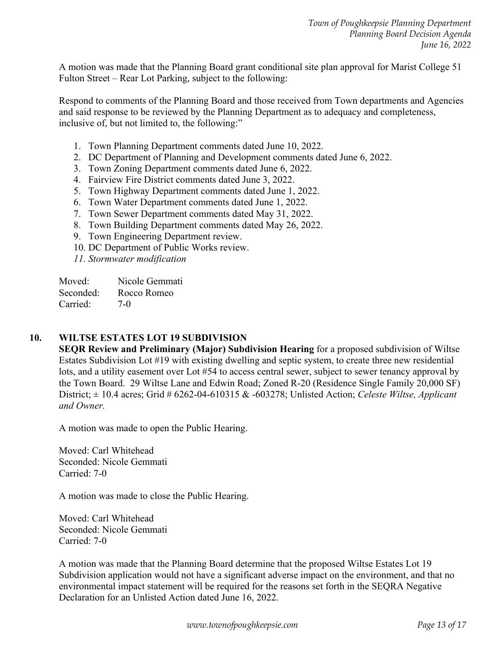A motion was made that the Planning Board grant conditional site plan approval for Marist College 51 Fulton Street – Rear Lot Parking, subject to the following:

Respond to comments of the Planning Board and those received from Town departments and Agencies and said response to be reviewed by the Planning Department as to adequacy and completeness, inclusive of, but not limited to, the following:"

- 1. Town Planning Department comments dated June 10, 2022.
- 2. DC Department of Planning and Development comments dated June 6, 2022.
- 3. Town Zoning Department comments dated June 6, 2022.
- 4. Fairview Fire District comments dated June 3, 2022.
- 5. Town Highway Department comments dated June 1, 2022.
- 6. Town Water Department comments dated June 1, 2022.
- 7. Town Sewer Department comments dated May 31, 2022.
- 8. Town Building Department comments dated May 26, 2022.
- 9. Town Engineering Department review.
- 10. DC Department of Public Works review.
- *11. Stormwater modification*

Moved: Nicole Gemmati Seconded: Rocco Romeo Carried: 7-0

#### **10. WILTSE ESTATES LOT 19 SUBDIVISION**

**SEQR Review and Preliminary (Major) Subdivision Hearing** for a proposed subdivision of Wiltse Estates Subdivision Lot #19 with existing dwelling and septic system, to create three new residential lots, and a utility easement over Lot #54 to access central sewer, subject to sewer tenancy approval by the Town Board. 29 Wiltse Lane and Edwin Road; Zoned R-20 (Residence Single Family 20,000 SF) District; ± 10.4 acres; Grid # 6262-04-610315 & -603278; Unlisted Action; *Celeste Wiltse, Applicant and Owner.* 

A motion was made to open the Public Hearing.

Moved: Carl Whitehead Seconded: Nicole Gemmati Carried: 7-0

A motion was made to close the Public Hearing.

Moved: Carl Whitehead Seconded: Nicole Gemmati Carried: 7-0

A motion was made that the Planning Board determine that the proposed Wiltse Estates Lot 19 Subdivision application would not have a significant adverse impact on the environment, and that no environmental impact statement will be required for the reasons set forth in the SEQRA Negative Declaration for an Unlisted Action dated June 16, 2022.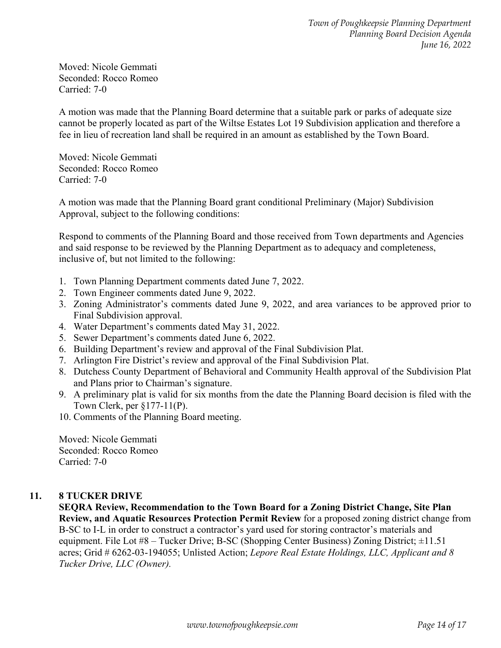Moved: Nicole Gemmati Seconded: Rocco Romeo Carried: 7-0

A motion was made that the Planning Board determine that a suitable park or parks of adequate size cannot be properly located as part of the Wiltse Estates Lot 19 Subdivision application and therefore a fee in lieu of recreation land shall be required in an amount as established by the Town Board.

Moved: Nicole Gemmati Seconded: Rocco Romeo Carried: 7-0

A motion was made that the Planning Board grant conditional Preliminary (Major) Subdivision Approval, subject to the following conditions:

Respond to comments of the Planning Board and those received from Town departments and Agencies and said response to be reviewed by the Planning Department as to adequacy and completeness, inclusive of, but not limited to the following:

- 1. Town Planning Department comments dated June 7, 2022.
- 2. Town Engineer comments dated June 9, 2022.
- 3. Zoning Administrator's comments dated June 9, 2022, and area variances to be approved prior to Final Subdivision approval.
- 4. Water Department's comments dated May 31, 2022.
- 5. Sewer Department's comments dated June 6, 2022.
- 6. Building Department's review and approval of the Final Subdivision Plat.
- 7. Arlington Fire District's review and approval of the Final Subdivision Plat.
- 8. Dutchess County Department of Behavioral and Community Health approval of the Subdivision Plat and Plans prior to Chairman's signature.
- 9. A preliminary plat is valid for six months from the date the Planning Board decision is filed with the Town Clerk, per §177-11(P).
- 10. Comments of the Planning Board meeting.

Moved: Nicole Gemmati Seconded: Rocco Romeo Carried: 7-0

#### **11. 8 TUCKER DRIVE**

**SEQRA Review, Recommendation to the Town Board for a Zoning District Change, Site Plan Review, and Aquatic Resources Protection Permit Review** for a proposed zoning district change from B-SC to I-L in order to construct a contractor's yard used for storing contractor's materials and equipment. File Lot #8 – Tucker Drive; B-SC (Shopping Center Business) Zoning District; ±11.51 acres; Grid # 6262-03-194055; Unlisted Action; *Lepore Real Estate Holdings, LLC, Applicant and 8 Tucker Drive, LLC (Owner).*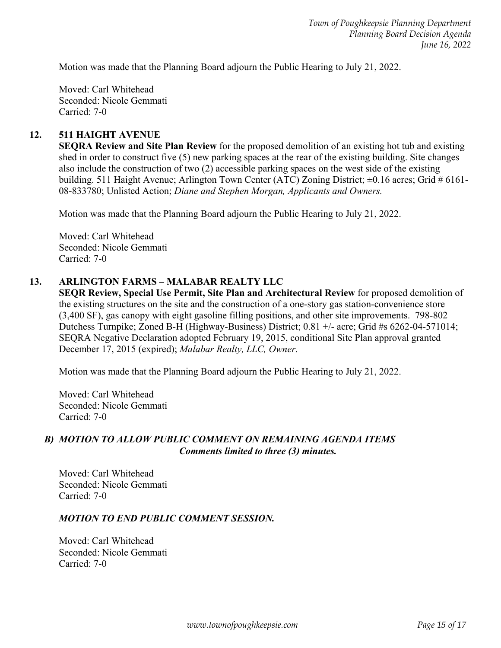Motion was made that the Planning Board adjourn the Public Hearing to July 21, 2022.

Moved: Carl Whitehead Seconded: Nicole Gemmati Carried: 7-0

#### **12. 511 HAIGHT AVENUE**

**SEQRA Review and Site Plan Review** for the proposed demolition of an existing hot tub and existing shed in order to construct five (5) new parking spaces at the rear of the existing building. Site changes also include the construction of two (2) accessible parking spaces on the west side of the existing building. 511 Haight Avenue; Arlington Town Center (ATC) Zoning District;  $\pm 0.16$  acres; Grid # 6161-08-833780; Unlisted Action; *Diane and Stephen Morgan, Applicants and Owners.*

Motion was made that the Planning Board adjourn the Public Hearing to July 21, 2022.

Moved: Carl Whitehead Seconded: Nicole Gemmati Carried: 7-0

#### **13. ARLINGTON FARMS – MALABAR REALTY LLC**

**SEQR Review, Special Use Permit, Site Plan and Architectural Review** for proposed demolition of the existing structures on the site and the construction of a one-story gas station-convenience store (3,400 SF), gas canopy with eight gasoline filling positions, and other site improvements. 798-802 Dutchess Turnpike; Zoned B-H (Highway-Business) District; 0.81 +/- acre; Grid #s 6262-04-571014; SEQRA Negative Declaration adopted February 19, 2015, conditional Site Plan approval granted December 17, 2015 (expired); *Malabar Realty, LLC, Owner.* 

Motion was made that the Planning Board adjourn the Public Hearing to July 21, 2022.

Moved: Carl Whitehead Seconded: Nicole Gemmati Carried: 7-0

#### *B) MOTION TO ALLOW PUBLIC COMMENT ON REMAINING AGENDA ITEMS Comments limited to three (3) minutes.*

Moved: Carl Whitehead Seconded: Nicole Gemmati Carried: 7-0

#### *MOTION TO END PUBLIC COMMENT SESSION.*

Moved: Carl Whitehead Seconded: Nicole Gemmati Carried: 7-0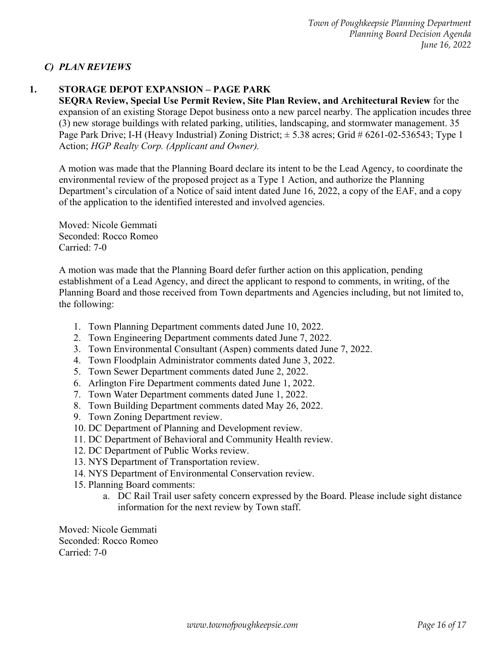## *C) PLAN REVIEWS*

## **1. STORAGE DEPOT EXPANSION – PAGE PARK**

**SEQRA Review, Special Use Permit Review, Site Plan Review, and Architectural Review** for the expansion of an existing Storage Depot business onto a new parcel nearby. The application incudes three (3) new storage buildings with related parking, utilities, landscaping, and stormwater management. 35 Page Park Drive; I-H (Heavy Industrial) Zoning District; ± 5.38 acres; Grid # 6261-02-536543; Type 1 Action; *HGP Realty Corp. (Applicant and Owner).*

A motion was made that the Planning Board declare its intent to be the Lead Agency, to coordinate the environmental review of the proposed project as a Type 1 Action, and authorize the Planning Department's circulation of a Notice of said intent dated June 16, 2022, a copy of the EAF, and a copy of the application to the identified interested and involved agencies.

Moved: Nicole Gemmati Seconded: Rocco Romeo Carried: 7-0

A motion was made that the Planning Board defer further action on this application, pending establishment of a Lead Agency, and direct the applicant to respond to comments, in writing, of the Planning Board and those received from Town departments and Agencies including, but not limited to, the following:

- 1. Town Planning Department comments dated June 10, 2022.
- 2. Town Engineering Department comments dated June 7, 2022.
- 3. Town Environmental Consultant (Aspen) comments dated June 7, 2022.
- 4. Town Floodplain Administrator comments dated June 3, 2022.
- 5. Town Sewer Department comments dated June 2, 2022.
- 6. Arlington Fire Department comments dated June 1, 2022.
- 7. Town Water Department comments dated June 1, 2022.
- 8. Town Building Department comments dated May 26, 2022.
- 9. Town Zoning Department review.
- 10. DC Department of Planning and Development review.
- 11. DC Department of Behavioral and Community Health review.
- 12. DC Department of Public Works review.
- 13. NYS Department of Transportation review.
- 14. NYS Department of Environmental Conservation review.
- 15. Planning Board comments:
	- a. DC Rail Trail user safety concern expressed by the Board. Please include sight distance information for the next review by Town staff.